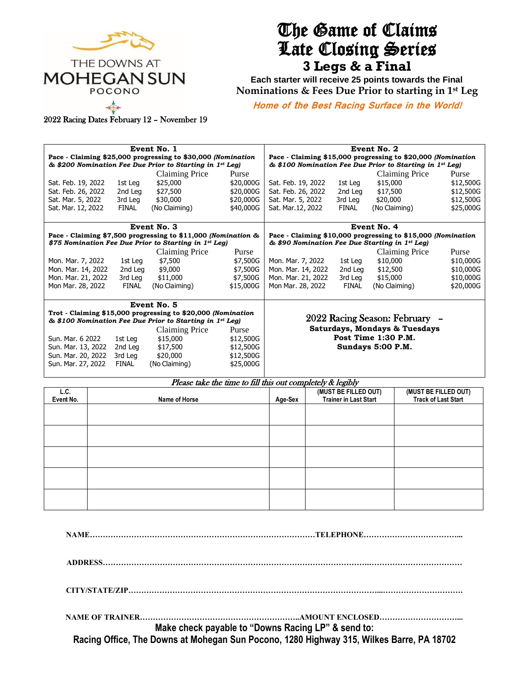

# The Game of Claims Late Closing Series **3 Legs & a Final**

**Each starter will receive 25 points towards the Final Nominations & Fees Due Prior to starting in 1st Leg**

**Home of the Best Racing Surface in the World!** 

2022 Racing Dates February 12 – November 19

| Event No. 1                                                                                                              |  |              |                                                              |                                                            |                                                                                                                | Event No. 2<br>Pace - Claiming \$15,000 progressing to \$20,000 (Nomination |                                            |               |                      |           |
|--------------------------------------------------------------------------------------------------------------------------|--|--------------|--------------------------------------------------------------|------------------------------------------------------------|----------------------------------------------------------------------------------------------------------------|-----------------------------------------------------------------------------|--------------------------------------------|---------------|----------------------|-----------|
| Pace - Claiming \$25,000 progressing to \$30,000 (Nomination<br>& \$200 Nomination Fee Due Prior to Starting in 1st Leg) |  |              |                                                              |                                                            |                                                                                                                | & \$100 Nomination Fee Due Prior to Starting in 1st Leg)                    |                                            |               |                      |           |
|                                                                                                                          |  |              | Claiming Price                                               | Purse                                                      |                                                                                                                |                                                                             |                                            |               | Claiming Price       | Purse     |
| Sat. Feb. 19, 2022                                                                                                       |  | 1st Leg      | \$25,000                                                     | \$20,000G                                                  | Sat. Feb. 19, 2022                                                                                             |                                                                             | 1st Leg                                    | \$15,000      |                      | \$12,500G |
| Sat. Feb. 26, 2022                                                                                                       |  | 2nd Leg      | \$27,500                                                     | \$20,000G                                                  | Sat. Feb. 26, 2022                                                                                             |                                                                             | 2nd Leg                                    | \$17,500      |                      | \$12,500G |
| Sat. Mar. 5, 2022                                                                                                        |  | 3rd Leg      | \$30,000                                                     | \$20,000G                                                  | Sat. Mar. 5, 2022                                                                                              |                                                                             | 3rd Leg                                    | \$20,000      |                      | \$12,500G |
| Sat. Mar. 12, 2022                                                                                                       |  | <b>FINAL</b> | (No Claiming)                                                | \$40,000G                                                  | Sat. Mar. 12, 2022                                                                                             |                                                                             | <b>FINAL</b>                               | (No Claiming) |                      | \$25,000G |
|                                                                                                                          |  |              |                                                              |                                                            |                                                                                                                |                                                                             |                                            |               |                      |           |
| Event No. 3                                                                                                              |  |              |                                                              |                                                            | Event No. 4                                                                                                    |                                                                             |                                            |               |                      |           |
| Pace - Claiming \$7,500 progressing to \$11,000 (Nomination &                                                            |  |              |                                                              |                                                            | Pace - Claiming \$10,000 progressing to \$15,000 (Nomination<br>& \$90 Nomination Fee Due Starting in 1st Leg) |                                                                             |                                            |               |                      |           |
| \$75 Nomination Fee Due Prior to Starting in 1st Leg)                                                                    |  |              |                                                              |                                                            |                                                                                                                |                                                                             |                                            |               |                      |           |
|                                                                                                                          |  |              | Claiming Price                                               | Purse                                                      |                                                                                                                |                                                                             |                                            |               | Claiming Price       | Purse     |
| Mon. Mar. 7, 2022                                                                                                        |  | 1st Leg      | \$7,500                                                      | \$7,500G                                                   | Mon. Mar. 7, 2022                                                                                              |                                                                             | 1st Leg                                    | \$10,000      |                      | \$10,000G |
| Mon. Mar. 14, 2022                                                                                                       |  | 2nd Leg      | \$9,000                                                      | \$7,500G                                                   | Mon. Mar. 14, 2022                                                                                             |                                                                             | 2nd Leg                                    | \$12,500      |                      | \$10,000G |
| Mon. Mar. 21, 2022                                                                                                       |  | 3rd Leg      | \$11,000                                                     | \$7,500G                                                   | Mon. Mar. 21, 2022                                                                                             |                                                                             | 3rd Leg                                    | \$15,000      |                      | \$10,000G |
| Mon Mar. 28, 2022                                                                                                        |  | <b>FINAL</b> | (No Claiming)                                                | \$15,000G                                                  | Mon Mar. 28, 2022                                                                                              |                                                                             | <b>FINAL</b>                               |               | (No Claiming)        | \$20,000G |
|                                                                                                                          |  |              |                                                              |                                                            |                                                                                                                |                                                                             |                                            |               |                      |           |
| Event No. 5                                                                                                              |  |              |                                                              |                                                            |                                                                                                                |                                                                             |                                            |               |                      |           |
|                                                                                                                          |  |              | Trot - Claiming \$15,000 progressing to \$20,000 (Nomination |                                                            | 2022 Racing Season: February -                                                                                 |                                                                             |                                            |               |                      |           |
|                                                                                                                          |  |              | & \$100 Nomination Fee Due Prior to Starting in 1st Leg)     |                                                            | <b>Saturdays, Mondays &amp; Tuesdays</b>                                                                       |                                                                             |                                            |               |                      |           |
|                                                                                                                          |  |              | Claiming Price                                               | Purse                                                      |                                                                                                                |                                                                             |                                            |               |                      |           |
| Sun. Mar. 6 2022                                                                                                         |  | 1st Leg      | \$15,000<br>\$12,500G                                        |                                                            |                                                                                                                | Post Time 1:30 P.M.                                                         |                                            |               |                      |           |
| Sun. Mar. 13, 2022                                                                                                       |  | 2nd Leg      |                                                              | \$17,500<br>\$12,500G                                      |                                                                                                                |                                                                             | Sundays 5:00 P.M.                          |               |                      |           |
| Sun. Mar. 20, 2022                                                                                                       |  | 3rd Leg      | \$20,000                                                     | \$12,500G                                                  |                                                                                                                |                                                                             |                                            |               |                      |           |
| Sun. Mar. 27, 2022                                                                                                       |  | <b>FINAL</b> | (No Claiming)                                                | \$25,000G                                                  |                                                                                                                |                                                                             |                                            |               |                      |           |
|                                                                                                                          |  |              |                                                              |                                                            |                                                                                                                |                                                                             |                                            |               |                      |           |
|                                                                                                                          |  |              |                                                              | Please take the time to fill this out completely & legibly |                                                                                                                |                                                                             |                                            |               |                      |           |
| L.C.                                                                                                                     |  |              |                                                              |                                                            | $\cdots$                                                                                                       |                                                                             | (MUST BE FILLED OUT)<br>アルプレット しょうしょう のしょう |               | (MUST BE FILLED OUT) |           |

| L.C.<br>Event No. | Name of Horse | Age-Sex | (MUST BE FILLED OUT)<br><b>Trainer in Last Start</b> | (MUST BE FILLED OUT)<br><b>Track of Last Start</b> |
|-------------------|---------------|---------|------------------------------------------------------|----------------------------------------------------|
|                   |               |         |                                                      |                                                    |
|                   |               |         |                                                      |                                                    |
|                   |               |         |                                                      |                                                    |
|                   |               |         |                                                      |                                                    |
|                   |               |         |                                                      |                                                    |

| Make check payable to "Downs Racing LP" & send to:                                       |
|------------------------------------------------------------------------------------------|
| Racing Office, The Downs at Mohegan Sun Pocono, 1280 Highway 315, Wilkes Barre, PA 18702 |
|                                                                                          |
|                                                                                          |
|                                                                                          |